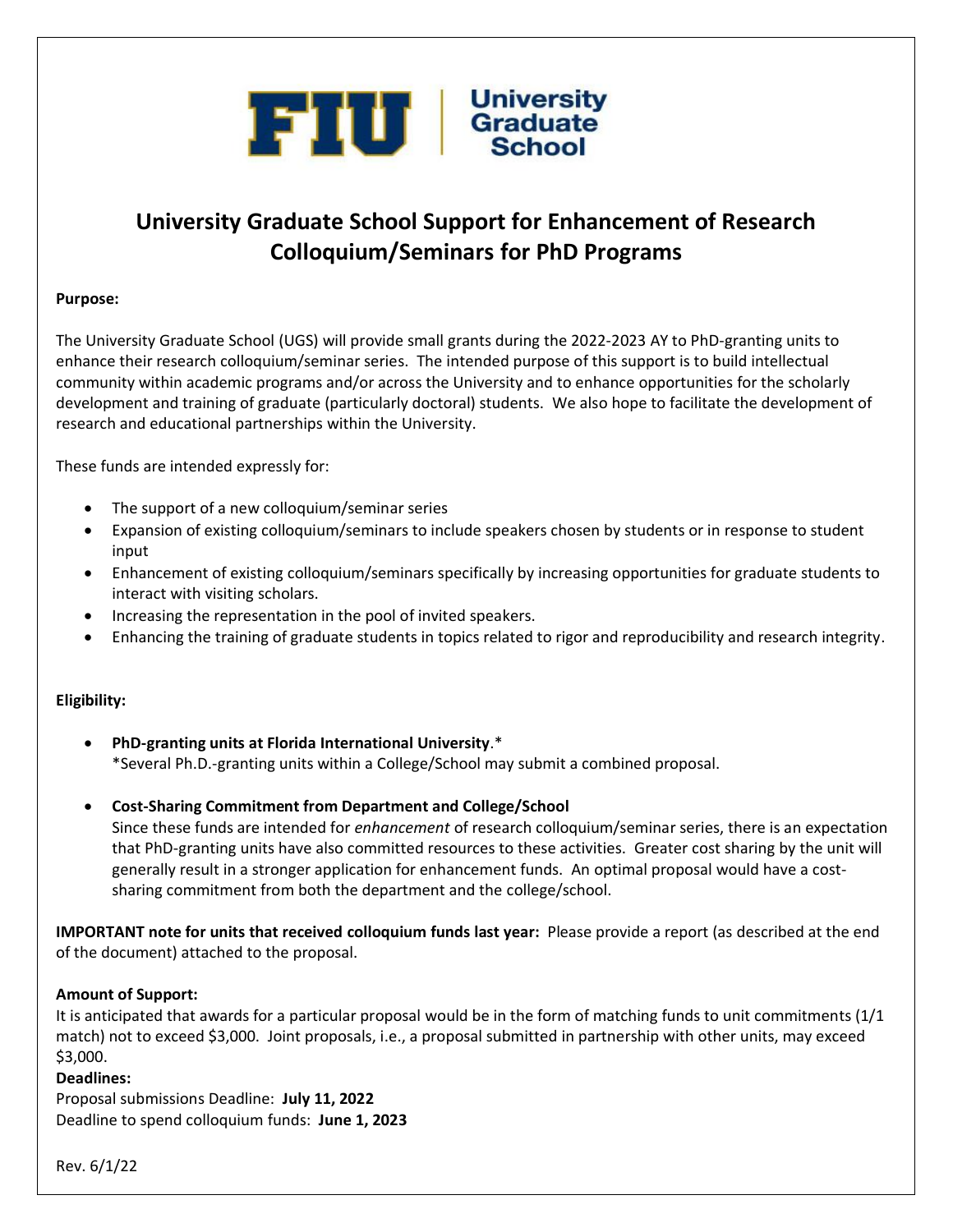

# **University Graduate School Support for Enhancement of Research Colloquium/Seminars for PhD Programs**

#### **Purpose:**

The University Graduate School (UGS) will provide small grants during the 2022-2023 AY to PhD-granting units to enhance their research colloquium/seminar series. The intended purpose of this support is to build intellectual community within academic programs and/or across the University and to enhance opportunities for the scholarly development and training of graduate (particularly doctoral) students. We also hope to facilitate the development of research and educational partnerships within the University.

These funds are intended expressly for:

- The support of a new colloquium/seminar series
- Expansion of existing colloquium/seminars to include speakers chosen by students or in response to student input
- Enhancement of existing colloquium/seminars specifically by increasing opportunities for graduate students to interact with visiting scholars.
- Increasing the representation in the pool of invited speakers.
- Enhancing the training of graduate students in topics related to rigor and reproducibility and research integrity.

## **Eligibility:**

- **PhD-granting units at Florida International University**.\* \*Several Ph.D.-granting units within a College/School may submit a combined proposal.
- **Cost-Sharing Commitment from Department and College/School**

Since these funds are intended for *enhancement* of research colloquium/seminar series, there is an expectation that PhD-granting units have also committed resources to these activities. Greater cost sharing by the unit will generally result in a stronger application for enhancement funds. An optimal proposal would have a costsharing commitment from both the department and the college/school.

**IMPORTANT note for units that received colloquium funds last year:** Please provide a report (as described at the end of the document) attached to the proposal.

#### **Amount of Support:**

It is anticipated that awards for a particular proposal would be in the form of matching funds to unit commitments (1/1 match) not to exceed \$3,000. Joint proposals, i.e., a proposal submitted in partnership with other units, may exceed \$3,000.

#### **Deadlines:**

Proposal submissions Deadline: **July 11, 2022** Deadline to spend colloquium funds: **June 1, 2023**

Rev. 6/1/22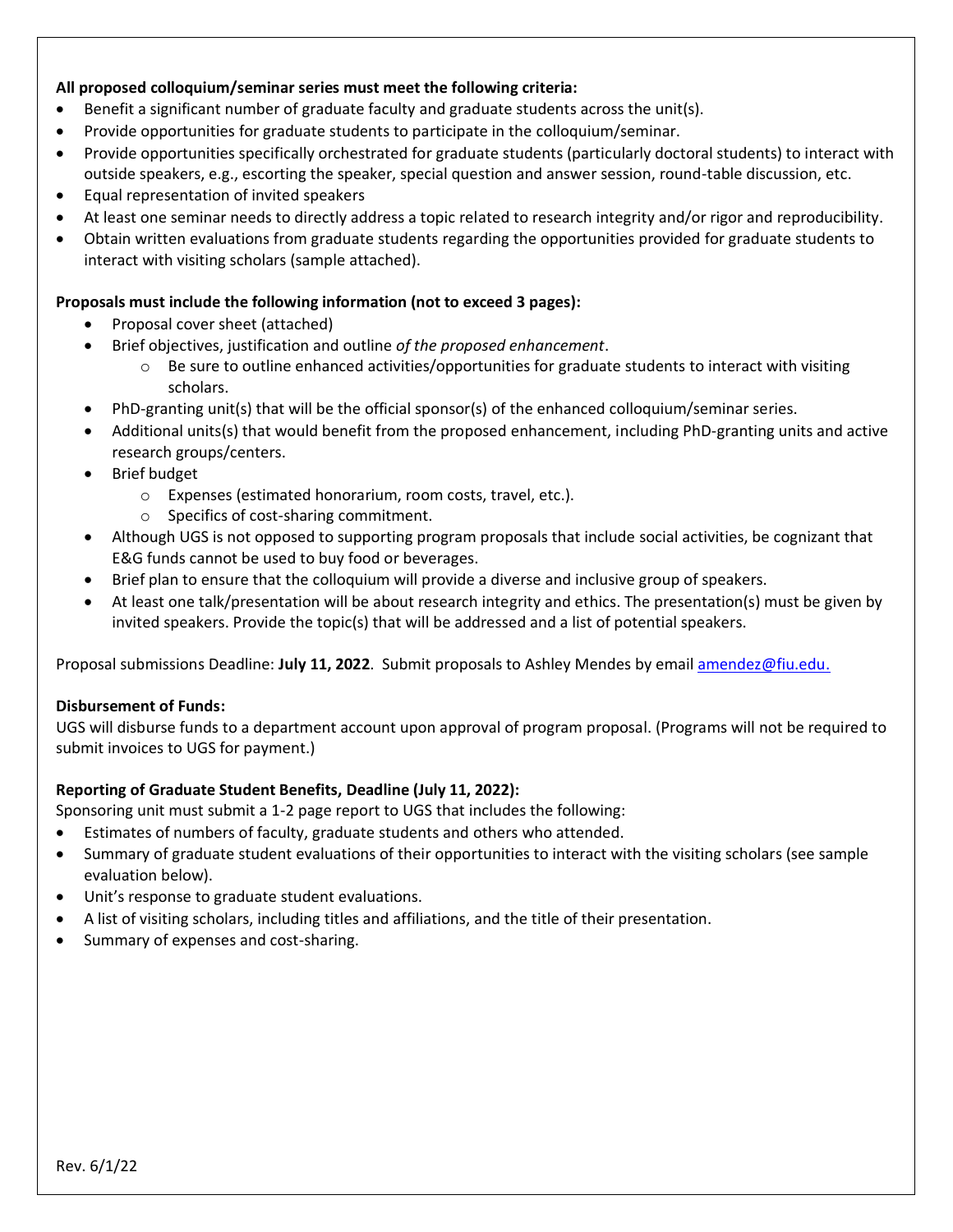#### **All proposed colloquium/seminar series must meet the following criteria:**

- Benefit a significant number of graduate faculty and graduate students across the unit(s).
- Provide opportunities for graduate students to participate in the colloquium/seminar.
- Provide opportunities specifically orchestrated for graduate students (particularly doctoral students) to interact with outside speakers, e.g., escorting the speaker, special question and answer session, round-table discussion, etc.
- Equal representation of invited speakers
- At least one seminar needs to directly address a topic related to research integrity and/or rigor and reproducibility.
- Obtain written evaluations from graduate students regarding the opportunities provided for graduate students to interact with visiting scholars (sample attached).

#### **Proposals must include the following information (not to exceed 3 pages):**

- Proposal cover sheet (attached)
- Brief objectives, justification and outline *of the proposed enhancement*.
	- $\circ$  Be sure to outline enhanced activities/opportunities for graduate students to interact with visiting scholars.
- PhD-granting unit(s) that will be the official sponsor(s) of the enhanced colloquium/seminar series.
- Additional units(s) that would benefit from the proposed enhancement, including PhD-granting units and active research groups/centers.
- Brief budget
	- o Expenses (estimated honorarium, room costs, travel, etc.).
	- o Specifics of cost-sharing commitment.
- Although UGS is not opposed to supporting program proposals that include social activities, be cognizant that E&G funds cannot be used to buy food or beverages.
- Brief plan to ensure that the colloquium will provide a diverse and inclusive group of speakers.
- At least one talk/presentation will be about research integrity and ethics. The presentation(s) must be given by invited speakers. Provide the topic(s) that will be addressed and a list of potential speakers.

Proposal submissions Deadline: **July 11, 2022**. Submit proposals to Ashley Mendes by email [amendez@fiu.edu.](mailto:amendez@fiu.edu)

#### **Disbursement of Funds:**

UGS will disburse funds to a department account upon approval of program proposal. (Programs will not be required to submit invoices to UGS for payment.)

## **Reporting of Graduate Student Benefits, Deadline (July 11, 2022):**

Sponsoring unit must submit a 1-2 page report to UGS that includes the following:

- Estimates of numbers of faculty, graduate students and others who attended.
- Summary of graduate student evaluations of their opportunities to interact with the visiting scholars (see sample evaluation below).
- Unit's response to graduate student evaluations.
- A list of visiting scholars, including titles and affiliations, and the title of their presentation.
- Summary of expenses and cost-sharing.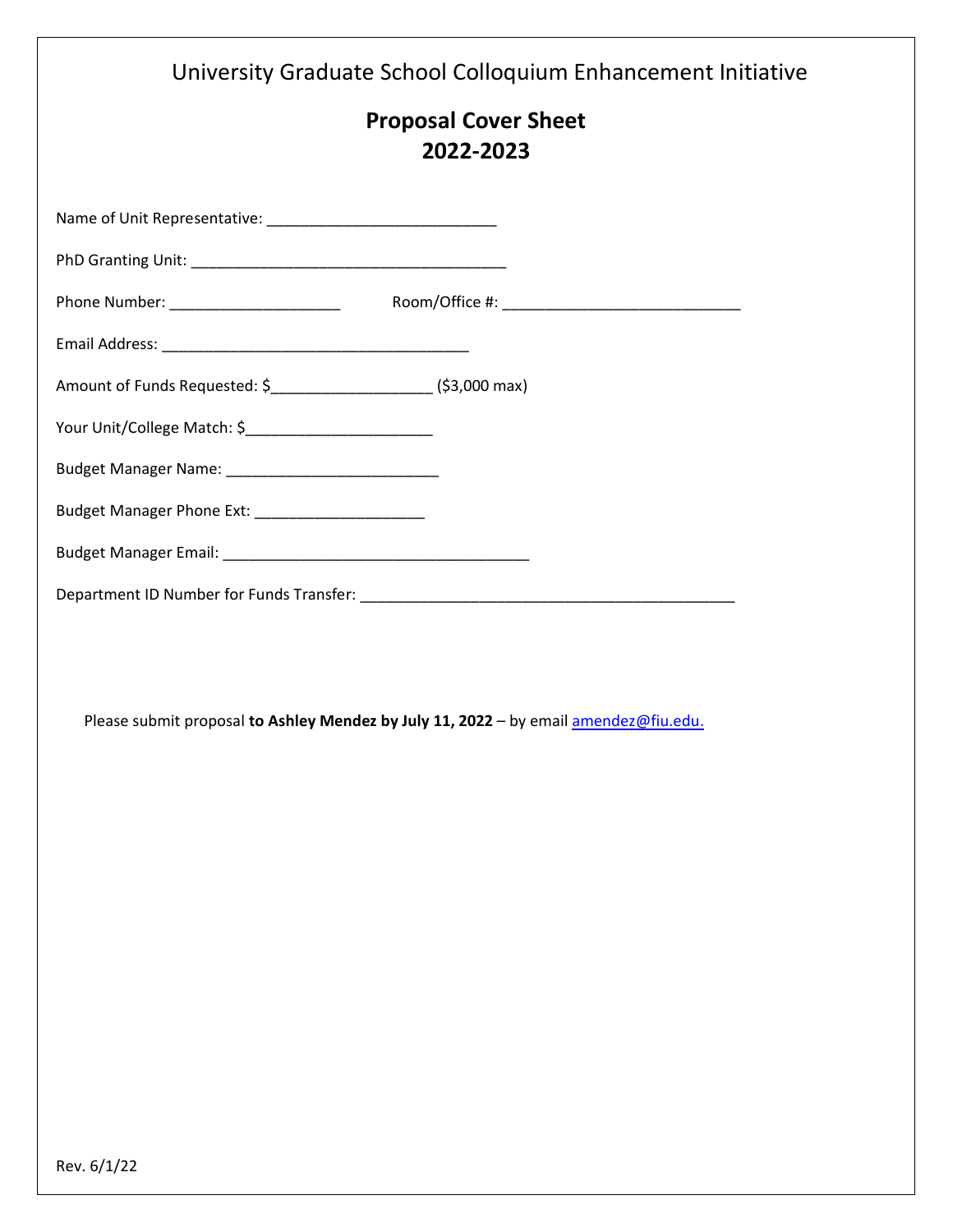|                                                                   | University Graduate School Colloquium Enhancement Initiative                         |
|-------------------------------------------------------------------|--------------------------------------------------------------------------------------|
|                                                                   | <b>Proposal Cover Sheet</b><br>2022-2023                                             |
|                                                                   |                                                                                      |
|                                                                   |                                                                                      |
|                                                                   |                                                                                      |
|                                                                   |                                                                                      |
| Amount of Funds Requested: \$_______________________(\$3,000 max) |                                                                                      |
|                                                                   |                                                                                      |
|                                                                   |                                                                                      |
| Budget Manager Phone Ext: _________________________               |                                                                                      |
|                                                                   |                                                                                      |
|                                                                   |                                                                                      |
|                                                                   | Please submit proposal to Ashley Mendez by July 11, 2022 - by email amendez@fiu.edu. |
|                                                                   |                                                                                      |
|                                                                   |                                                                                      |
|                                                                   |                                                                                      |
|                                                                   |                                                                                      |
|                                                                   |                                                                                      |
|                                                                   |                                                                                      |
|                                                                   |                                                                                      |
|                                                                   |                                                                                      |
| Rev. 6/1/22                                                       |                                                                                      |